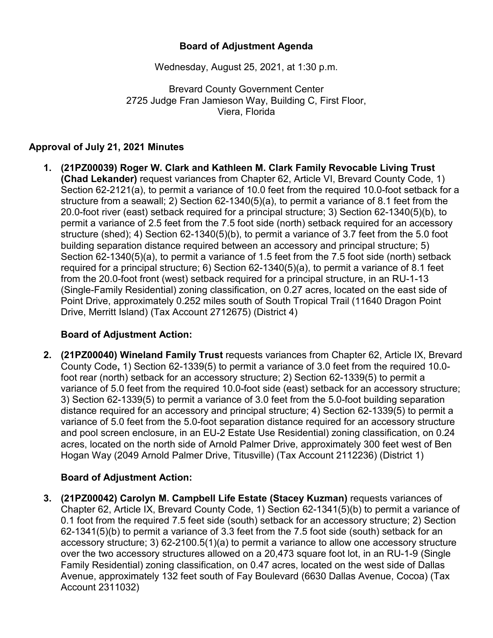# **Board of Adjustment Agenda**

Wednesday, August 25, 2021, at 1:30 p.m.

Brevard County Government Center 2725 Judge Fran Jamieson Way, Building C, First Floor, Viera, Florida

### **Approval of July 21, 2021 Minutes**

**1. (21PZ00039) Roger W. Clark and Kathleen M. Clark Family Revocable Living Trust (Chad Lekander)** request variances from Chapter 62, Article VI, Brevard County Code, 1) Section 62-2121(a), to permit a variance of 10.0 feet from the required 10.0-foot setback for a structure from a seawall; 2) Section 62-1340(5)(a), to permit a variance of 8.1 feet from the 20.0-foot river (east) setback required for a principal structure; 3) Section 62-1340(5)(b), to permit a variance of 2.5 feet from the 7.5 foot side (north) setback required for an accessory structure (shed); 4) Section 62-1340(5)(b), to permit a variance of 3.7 feet from the 5.0 foot building separation distance required between an accessory and principal structure; 5) Section 62-1340(5)(a), to permit a variance of 1.5 feet from the 7.5 foot side (north) setback required for a principal structure; 6) Section 62-1340(5)(a), to permit a variance of 8.1 feet from the 20.0-foot front (west) setback required for a principal structure, in an RU-1-13 (Single-Family Residential) zoning classification, on 0.27 acres, located on the east side of Point Drive, approximately 0.252 miles south of South Tropical Trail (11640 Dragon Point Drive, Merritt Island) (Tax Account 2712675) (District 4)

#### **Board of Adjustment Action:**

**2. (21PZ00040) Wineland Family Trust** requests variances from Chapter 62, Article IX, Brevard County Code**,** 1) Section 62-1339(5) to permit a variance of 3.0 feet from the required 10.0 foot rear (north) setback for an accessory structure; 2) Section 62-1339(5) to permit a variance of 5.0 feet from the required 10.0-foot side (east) setback for an accessory structure; 3) Section 62-1339(5) to permit a variance of 3.0 feet from the 5.0-foot building separation distance required for an accessory and principal structure; 4) Section 62-1339(5) to permit a variance of 5.0 feet from the 5.0-foot separation distance required for an accessory structure and pool screen enclosure, in an EU-2 Estate Use Residential) zoning classification, on 0.24 acres, located on the north side of Arnold Palmer Drive, approximately 300 feet west of Ben Hogan Way (2049 Arnold Palmer Drive, Titusville) (Tax Account 2112236) (District 1)

# **Board of Adjustment Action:**

**3. (21PZ00042) Carolyn M. Campbell Life Estate (Stacey Kuzman)** requests variances of Chapter 62, Article IX, Brevard County Code, 1) Section 62-1341(5)(b) to permit a variance of 0.1 foot from the required 7.5 feet side (south) setback for an accessory structure; 2) Section 62-1341(5)(b) to permit a variance of 3.3 feet from the 7.5 foot side (south) setback for an accessory structure; 3) 62-2100.5(1)(a) to permit a variance to allow one accessory structure over the two accessory structures allowed on a 20,473 square foot lot, in an RU-1-9 (Single Family Residential) zoning classification, on 0.47 acres, located on the west side of Dallas Avenue, approximately 132 feet south of Fay Boulevard (6630 Dallas Avenue, Cocoa) (Tax Account 2311032)